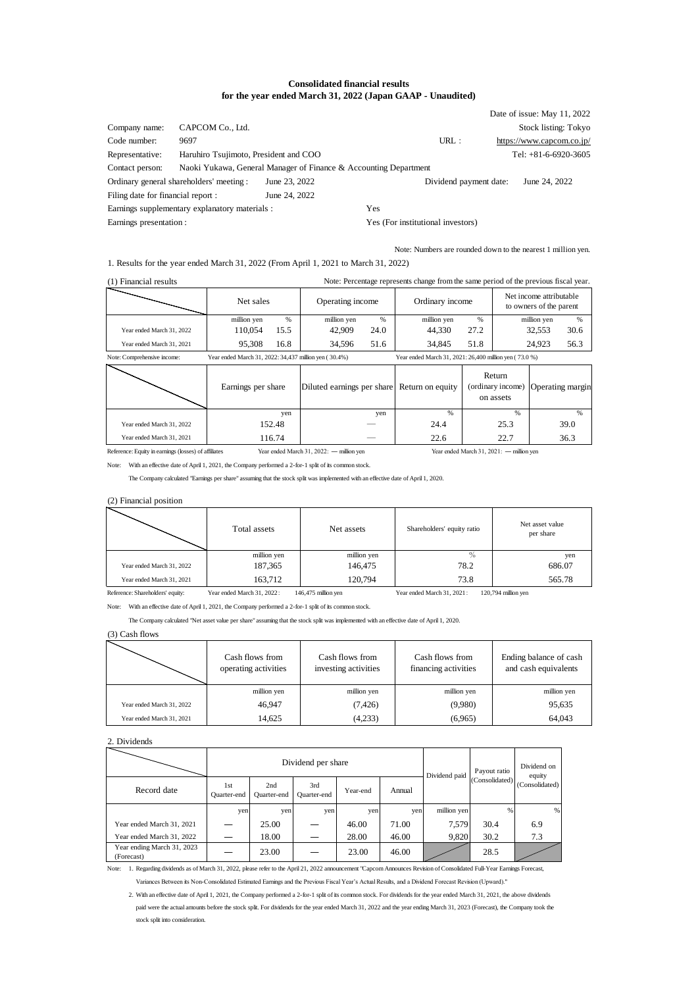#### **Consolidated financial results for the year ended March 31, 2022 (Japan GAAP - Unaudited)**

|                                    |                                                |                                                                  |     |                                   | Date of issue: May 11, 2022 |
|------------------------------------|------------------------------------------------|------------------------------------------------------------------|-----|-----------------------------------|-----------------------------|
| Company name:                      | CAPCOM Co., Ltd.                               |                                                                  |     |                                   | Stock listing: Tokyo        |
| Code number:                       | 9697                                           |                                                                  |     | URL:                              | https://www.capcom.co.jp/   |
| Representative:                    | Haruhiro Tsujimoto, President and COO          |                                                                  |     |                                   | Tel: $+81-6-6920-3605$      |
| Contact person:                    |                                                | Naoki Yukawa, General Manager of Finance & Accounting Department |     |                                   |                             |
|                                    | Ordinary general shareholders' meeting :       | June 23, 2022                                                    |     | Dividend payment date:            | June 24, 2022               |
| Filing date for financial report : |                                                | June 24, 2022                                                    |     |                                   |                             |
|                                    | Earnings supplementary explanatory materials : |                                                                  | Yes |                                   |                             |
| Earnings presentation:             |                                                |                                                                  |     | Yes (For institutional investors) |                             |

Note: Numbers are rounded down to the nearest 1 million yen. 1. Results for the year ended March 31, 2022 (From April 1, 2021 to March 31, 2022)

(1) Financial results Note: Percentage represents change from the same period of the previous fiscal year. million yen % | million yen % | million yen % | million yen % | million yen % | million yen % | million yen % | million yen % | million yen % | million yen % | million yen % | million yen % | million yen % | million yen % Note: Comprehensive income: Year ended March 31, 2022: 34,437 million yen (30.4%) Year ended March 31, 2021: 26,400 million yen (73.0 %) yen yen % % % 32,553 24,923 Year ended March 31, 2021 Year ended March 31, 2022 42,909 36.3 Return on equity Return (ordinary income) on assets Operating margin 27.2 Diluted earnings per share Operating income 30.6 95,308 16.8 34,596 51.6 34,845 51.8 24,923 56.3 116.74 152.48 Ordinary income 25.3 24.4 39.0 ― ― 22.7 34,845 51.6 51.8 24.0 34,596 110,054 Net income attributable to owners of the parent 22.6 Year ended March 31, 2022 Year ended March 31, 2021 Earnings per share Net sales  $15.5$  42,909 24.0 44.330

Reference: Equity in earnings (losses) of affiliates Year ended March 31, 2022: ― million yen Year ended March 31, 2021: ― million yen

Note: With an effective date of April 1, 2021, the Company performed a 2-for-1 split of its common stock.

The Company calculated "Earnings per share" assuming that the stock split was implemented with an effective date of April 1, 2020.

#### (2) Financial position

|                           | Total assets | Net assets  | Shareholders' equity ratio | Net asset value<br>per share |
|---------------------------|--------------|-------------|----------------------------|------------------------------|
|                           | million yen  | million yen | $\%$                       | yen                          |
| Year ended March 31, 2022 | 187,365      | 146,475     | 78.2                       | 686.07                       |
| Year ended March 31, 2021 | 163,712      | 120,794     | 73.8                       | 565.78                       |

Reference: Shareholders' equity: Year ended March 31, 2022: 146,475 million yen Year ended March 31, 2021: 120,794 million yen

Note: With an effective date of April 1, 2021, the Company performed a 2-for-1 split of its common stock.

The Company calculated "Net asset value per share" assuming that the stock split was implemented with an effective date of April 1, 2020.

#### (3) Cash flows

|                           | Cash flows from<br>operating activities | Cash flows from<br>investing activities | Cash flows from<br>financing activities | Ending balance of cash<br>and cash equivalents |
|---------------------------|-----------------------------------------|-----------------------------------------|-----------------------------------------|------------------------------------------------|
|                           | million yen                             | million yen                             | million yen                             | million yen                                    |
| Year ended March 31, 2022 | 46,947                                  | (7, 426)                                | (9,980)                                 | 95,635                                         |
| Year ended March 31, 2021 | 14.625                                  | (4,233)                                 | (6,965)                                 | 64,043                                         |

#### 2. Dividends

|                                          |                    |                           | Dividend per share | Dividend paid | Payout ratio | Dividend on |                |                          |  |
|------------------------------------------|--------------------|---------------------------|--------------------|---------------|--------------|-------------|----------------|--------------------------|--|
| Record date                              | 1st<br>Ouarter-end | 2nd<br><b>Ouarter-end</b> | 3rd<br>Ouarter-end | Year-end      | Annual       |             | (Consolidated) | equity<br>(Consolidated) |  |
|                                          | yen                | yen                       | yen                | yen           | yen          | million yen | %              | %                        |  |
| Year ended March 31, 2021                |                    | 25.00                     |                    | 46.00         | 71.00        | 7,579       | 30.4           | 6.9                      |  |
| Year ended March 31, 2022                |                    | 18.00                     |                    | 28.00         | 46.00        | 9,820       | 30.2           | 7.3                      |  |
| Year ending March 31, 2023<br>(Forecast) |                    | 23.00                     |                    | 23.00         | 46.00        |             | 28.5           |                          |  |

Note: 1. Regarding dividends as of March 31, 2022, please refer to the April 21, 2022 announcement "Capcom Announces Revision of Consolidated Full-Year Earnings Forecast,

Variances Between its Non-Consolidated Estimated Earnings and the Previous Fiscal Year's Actual Results, and a Dividend Forecast Revision (Upward)."

2. With an effective date of April 1, 2021, the Company performed a 2-for-1 split of its common stock. For dividends for the year ended March 31, 2021, the above dividends paid were the actual amounts before the stock split. For dividends for the year ended March 31, 2022 and the year ending March 31, 2023 (Forecast), the Company took the stock split into consideration.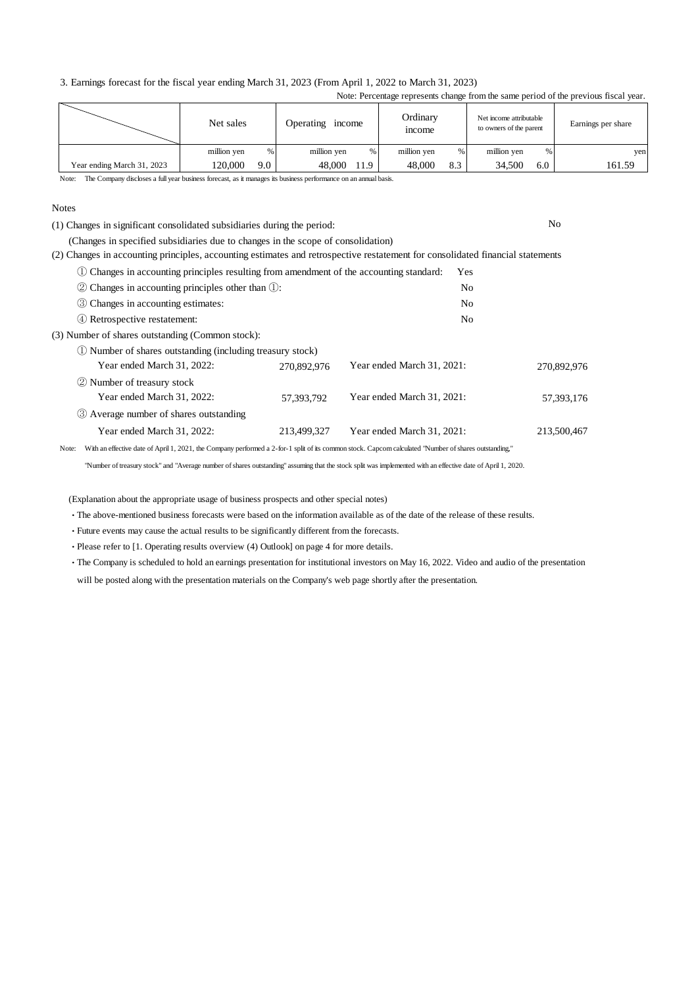#### 3. Earnings forecast for the fiscal year ending March 31, 2023 (From April 1, 2022 to March 31, 2023)

| Note: Percentage represents change from the same period of the previous fiscal year. |             |     |                     |     |                   |     |                                                    |     |                    |
|--------------------------------------------------------------------------------------|-------------|-----|---------------------|-----|-------------------|-----|----------------------------------------------------|-----|--------------------|
|                                                                                      | Net sales   |     | Operating<br>income |     | Ordinary<br>mcome |     | Net income attributable<br>to owners of the parent |     | Earnings per share |
|                                                                                      | million yen | %   | million yen         | %   | million yen       |     | million yen                                        | %   | ven                |
| Year ending March 31, 2023                                                           | 120.000     | 9.0 | 48,000              | 1.9 | 48,000            | 8.3 | 34.500                                             | 6.0 | 161.59             |

Note: The Company discloses a full year business forecast, as it manages its business performance on an annual basis.

#### Notes

(1) Changes in significant consolidated subsidiaries during the period: No

(Changes in specified subsidiaries due to changes in the scope of consolidation)

(2) Changes in accounting principles, accounting estimates and retrospective restatement for consolidated financial statements

|                                                             | <b>Yes</b>                 |                                                                                                                                                                                                                                                    |
|-------------------------------------------------------------|----------------------------|----------------------------------------------------------------------------------------------------------------------------------------------------------------------------------------------------------------------------------------------------|
| 2 Changes in accounting principles other than (1):          | N <sub>0</sub>             |                                                                                                                                                                                                                                                    |
|                                                             | N <sub>0</sub>             |                                                                                                                                                                                                                                                    |
|                                                             | N <sub>0</sub>             |                                                                                                                                                                                                                                                    |
|                                                             |                            |                                                                                                                                                                                                                                                    |
| (1) Number of shares outstanding (including treasury stock) |                            |                                                                                                                                                                                                                                                    |
| 270,892,976                                                 | Year ended March 31, 2021: | 270,892,976                                                                                                                                                                                                                                        |
|                                                             |                            |                                                                                                                                                                                                                                                    |
| 57.393.792                                                  | Year ended March 31, 2021: | 57.393.176                                                                                                                                                                                                                                         |
|                                                             |                            |                                                                                                                                                                                                                                                    |
| 213,499,327                                                 | Year ended March 31, 2021: | 213,500,467                                                                                                                                                                                                                                        |
|                                                             |                            |                                                                                                                                                                                                                                                    |
|                                                             |                            | (1) Changes in accounting principles resulting from amendment of the accounting standard:<br>With an effective date of April 1, 2021, the Company performed a 2-for-1 split of its common stock. Capcom calculated "Number of shares outstanding," |

"Number of treasury stock" and "Average number of shares outstanding" assuming that the stock split was implemented with an effective date of April 1, 2020.

(Explanation about the appropriate usage of business prospects and other special notes)

・The above-mentioned business forecasts were based on the information available as of the date of the release of these results.

・Future events may cause the actual results to be significantly different from the forecasts.

・Please refer to [1. Operating results overview (4) Outlook] on page 4 for more details.

・The Company is scheduled to hold an earnings presentation for institutional investors on May 16, 2022. Video and audio of the presentation will be posted along with the presentation materials on the Company's web page shortly after the presentation.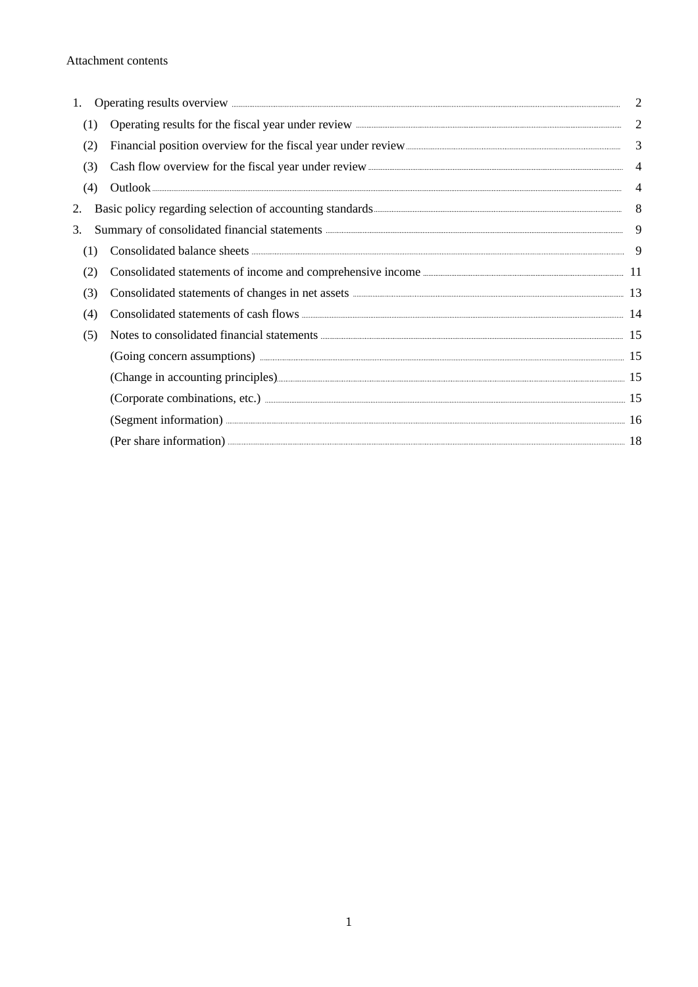# Attachment contents

| 1.  |                                                                                                                                                                                                                                     | $\overline{2}$ |
|-----|-------------------------------------------------------------------------------------------------------------------------------------------------------------------------------------------------------------------------------------|----------------|
| (1) | Operating results for the fiscal year under review <b>Example 20</b> in the set of the set of the set of the set of the set of the set of the set of the set of the set of the set of the set of the set of the set of the set of t | $\overline{2}$ |
| (2) |                                                                                                                                                                                                                                     | 3              |
| (3) |                                                                                                                                                                                                                                     |                |
| (4) |                                                                                                                                                                                                                                     | 4              |
| 2.  |                                                                                                                                                                                                                                     | 8              |
| 3.  | Summary of consolidated financial statements <b>Exercise Consolidated</b> financial statements <b>Exercise Consolidated</b>                                                                                                         | 9              |
| (1) |                                                                                                                                                                                                                                     | 9              |
| (2) |                                                                                                                                                                                                                                     |                |
| (3) | Consolidated statements of changes in net assets <b>Exercíal Statements</b> 13                                                                                                                                                      |                |
| (4) |                                                                                                                                                                                                                                     |                |
| (5) |                                                                                                                                                                                                                                     |                |
|     |                                                                                                                                                                                                                                     |                |
|     |                                                                                                                                                                                                                                     |                |
|     | (Corporate combinations, etc.) <b>Example 2018</b> 15                                                                                                                                                                               |                |
|     | (Segment information) <b>Example 2</b> 16                                                                                                                                                                                           |                |
|     |                                                                                                                                                                                                                                     |                |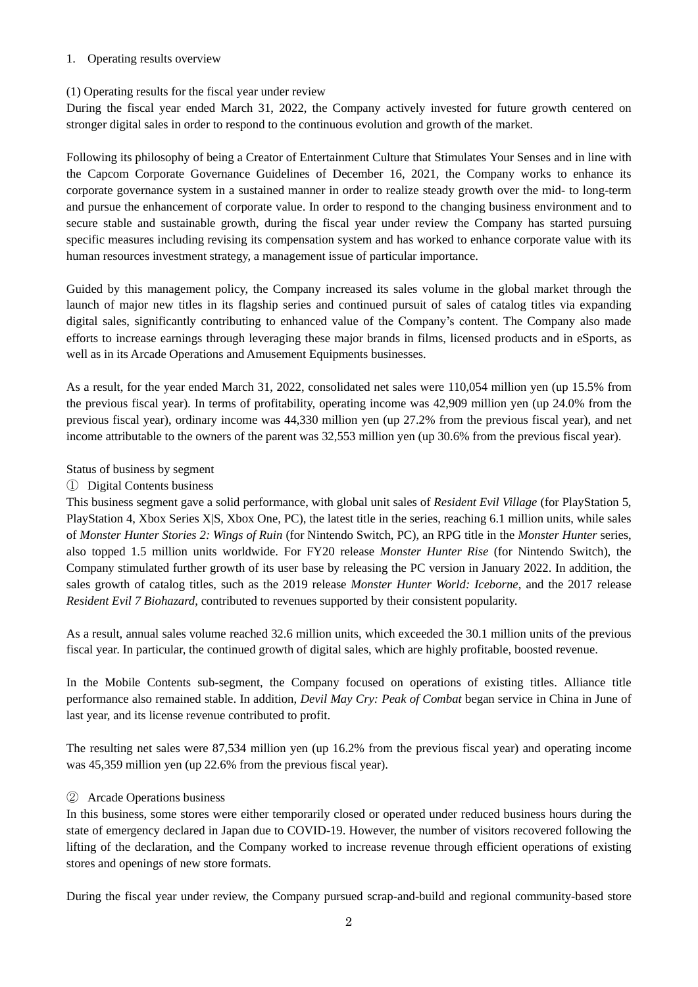## 1. Operating results overview

## (1) Operating results for the fiscal year under review

During the fiscal year ended March 31, 2022, the Company actively invested for future growth centered on stronger digital sales in order to respond to the continuous evolution and growth of the market.

Following its philosophy of being a Creator of Entertainment Culture that Stimulates Your Senses and in line with the Capcom Corporate Governance Guidelines of December 16, 2021, the Company works to enhance its corporate governance system in a sustained manner in order to realize steady growth over the mid- to long-term and pursue the enhancement of corporate value. In order to respond to the changing business environment and to secure stable and sustainable growth, during the fiscal year under review the Company has started pursuing specific measures including revising its compensation system and has worked to enhance corporate value with its human resources investment strategy, a management issue of particular importance.

Guided by this management policy, the Company increased its sales volume in the global market through the launch of major new titles in its flagship series and continued pursuit of sales of catalog titles via expanding digital sales, significantly contributing to enhanced value of the Company's content. The Company also made efforts to increase earnings through leveraging these major brands in films, licensed products and in eSports, as well as in its Arcade Operations and Amusement Equipments businesses.

As a result, for the year ended March 31, 2022, consolidated net sales were 110,054 million yen (up 15.5% from the previous fiscal year). In terms of profitability, operating income was 42,909 million yen (up 24.0% from the previous fiscal year), ordinary income was 44,330 million yen (up 27.2% from the previous fiscal year), and net income attributable to the owners of the parent was 32,553 million yen (up 30.6% from the previous fiscal year).

Status of business by segment

① Digital Contents business

This business segment gave a solid performance, with global unit sales of *Resident Evil Village* (for PlayStation 5, PlayStation 4, Xbox Series X|S, Xbox One, PC), the latest title in the series, reaching 6.1 million units, while sales of *Monster Hunter Stories 2: Wings of Ruin* (for Nintendo Switch, PC), an RPG title in the *Monster Hunter* series, also topped 1.5 million units worldwide. For FY20 release *Monster Hunter Rise* (for Nintendo Switch), the Company stimulated further growth of its user base by releasing the PC version in January 2022. In addition, the sales growth of catalog titles, such as the 2019 release *Monster Hunter World: Iceborne*, and the 2017 release *Resident Evil 7 Biohazard*, contributed to revenues supported by their consistent popularity.

As a result, annual sales volume reached 32.6 million units, which exceeded the 30.1 million units of the previous fiscal year. In particular, the continued growth of digital sales, which are highly profitable, boosted revenue.

In the Mobile Contents sub-segment, the Company focused on operations of existing titles. Alliance title performance also remained stable. In addition, *Devil May Cry: Peak of Combat* began service in China in June of last year, and its license revenue contributed to profit.

The resulting net sales were 87,534 million yen (up 16.2% from the previous fiscal year) and operating income was 45,359 million yen (up 22.6% from the previous fiscal year).

## ② Arcade Operations business

In this business, some stores were either temporarily closed or operated under reduced business hours during the state of emergency declared in Japan due to COVID-19. However, the number of visitors recovered following the lifting of the declaration, and the Company worked to increase revenue through efficient operations of existing stores and openings of new store formats.

During the fiscal year under review, the Company pursued scrap-and-build and regional community-based store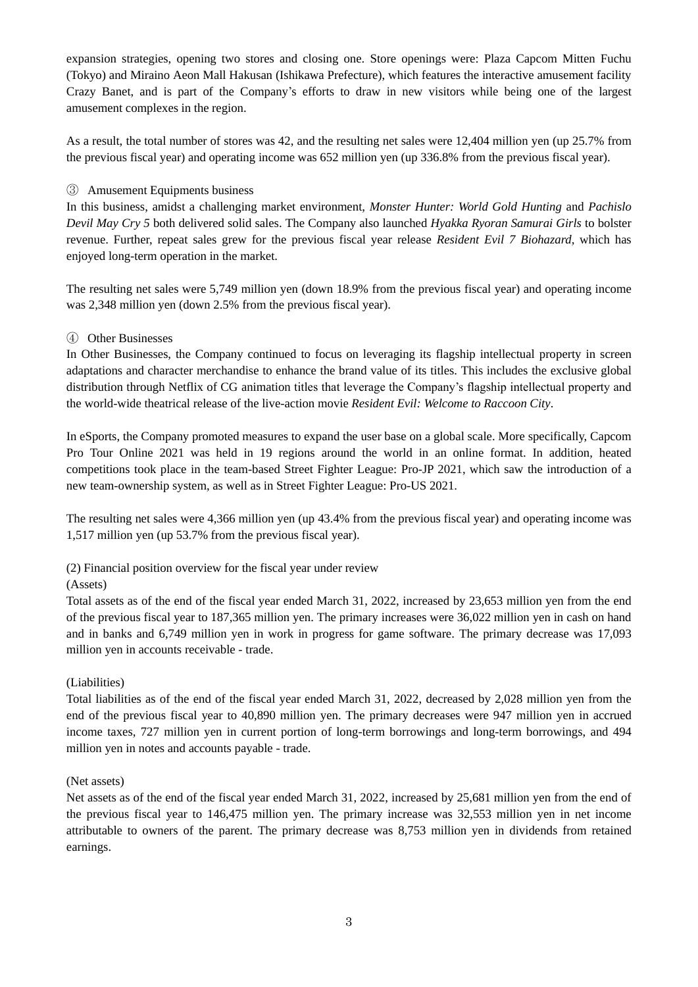expansion strategies, opening two stores and closing one. Store openings were: Plaza Capcom Mitten Fuchu (Tokyo) and Miraino Aeon Mall Hakusan (Ishikawa Prefecture), which features the interactive amusement facility Crazy Banet, and is part of the Company's efforts to draw in new visitors while being one of the largest amusement complexes in the region.

As a result, the total number of stores was 42, and the resulting net sales were 12,404 million yen (up 25.7% from the previous fiscal year) and operating income was 652 million yen (up 336.8% from the previous fiscal year).

# ③ Amusement Equipments business

In this business, amidst a challenging market environment, *Monster Hunter: World Gold Hunting* and *Pachislo Devil May Cry 5* both delivered solid sales. The Company also launched *Hyakka Ryoran Samurai Girls* to bolster revenue. Further, repeat sales grew for the previous fiscal year release *Resident Evil 7 Biohazard*, which has enjoyed long-term operation in the market.

The resulting net sales were 5,749 million yen (down 18.9% from the previous fiscal year) and operating income was 2,348 million yen (down 2.5% from the previous fiscal year).

# ④ Other Businesses

In Other Businesses, the Company continued to focus on leveraging its flagship intellectual property in screen adaptations and character merchandise to enhance the brand value of its titles. This includes the exclusive global distribution through Netflix of CG animation titles that leverage the Company's flagship intellectual property and the world-wide theatrical release of the live-action movie *Resident Evil: Welcome to Raccoon City*.

In eSports, the Company promoted measures to expand the user base on a global scale. More specifically, Capcom Pro Tour Online 2021 was held in 19 regions around the world in an online format. In addition, heated competitions took place in the team-based Street Fighter League: Pro-JP 2021, which saw the introduction of a new team-ownership system, as well as in Street Fighter League: Pro-US 2021.

The resulting net sales were 4,366 million yen (up 43.4% from the previous fiscal year) and operating income was 1,517 million yen (up 53.7% from the previous fiscal year).

(2) Financial position overview for the fiscal year under review

# (Assets)

Total assets as of the end of the fiscal year ended March 31, 2022, increased by 23,653 million yen from the end of the previous fiscal year to 187,365 million yen. The primary increases were 36,022 million yen in cash on hand and in banks and 6,749 million yen in work in progress for game software. The primary decrease was 17,093 million yen in accounts receivable - trade.

## (Liabilities)

Total liabilities as of the end of the fiscal year ended March 31, 2022, decreased by 2,028 million yen from the end of the previous fiscal year to 40,890 million yen. The primary decreases were 947 million yen in accrued income taxes, 727 million yen in current portion of long-term borrowings and long-term borrowings, and 494 million yen in notes and accounts payable - trade.

## (Net assets)

Net assets as of the end of the fiscal year ended March 31, 2022, increased by 25,681 million yen from the end of the previous fiscal year to 146,475 million yen. The primary increase was 32,553 million yen in net income attributable to owners of the parent. The primary decrease was 8,753 million yen in dividends from retained earnings.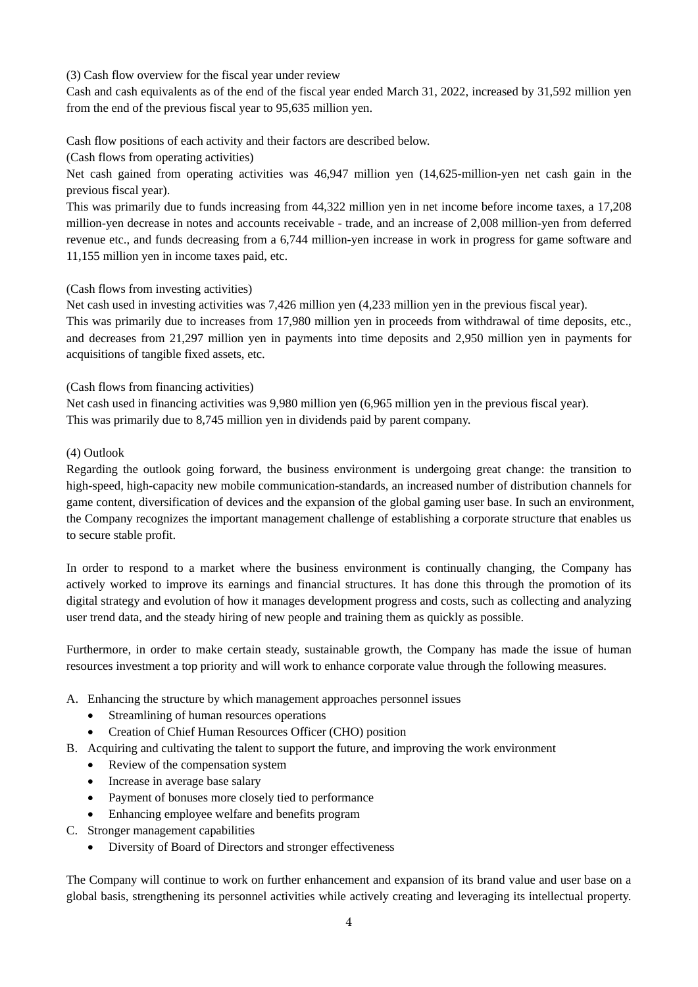(3) Cash flow overview for the fiscal year under review

Cash and cash equivalents as of the end of the fiscal year ended March 31, 2022, increased by 31,592 million yen from the end of the previous fiscal year to 95,635 million yen.

Cash flow positions of each activity and their factors are described below.

(Cash flows from operating activities)

Net cash gained from operating activities was 46,947 million yen (14,625-million-yen net cash gain in the previous fiscal year).

This was primarily due to funds increasing from 44,322 million yen in net income before income taxes, a 17,208 million-yen decrease in notes and accounts receivable - trade, and an increase of 2,008 million-yen from deferred revenue etc., and funds decreasing from a 6,744 million-yen increase in work in progress for game software and 11,155 million yen in income taxes paid, etc.

# (Cash flows from investing activities)

Net cash used in investing activities was 7,426 million yen (4,233 million yen in the previous fiscal year).

This was primarily due to increases from 17,980 million yen in proceeds from withdrawal of time deposits, etc., and decreases from 21,297 million yen in payments into time deposits and 2,950 million yen in payments for acquisitions of tangible fixed assets, etc.

# (Cash flows from financing activities)

Net cash used in financing activities was 9,980 million yen (6,965 million yen in the previous fiscal year). This was primarily due to 8,745 million yen in dividends paid by parent company.

# (4) Outlook

Regarding the outlook going forward, the business environment is undergoing great change: the transition to high-speed, high-capacity new mobile communication-standards, an increased number of distribution channels for game content, diversification of devices and the expansion of the global gaming user base. In such an environment, the Company recognizes the important management challenge of establishing a corporate structure that enables us to secure stable profit.

In order to respond to a market where the business environment is continually changing, the Company has actively worked to improve its earnings and financial structures. It has done this through the promotion of its digital strategy and evolution of how it manages development progress and costs, such as collecting and analyzing user trend data, and the steady hiring of new people and training them as quickly as possible.

Furthermore, in order to make certain steady, sustainable growth, the Company has made the issue of human resources investment a top priority and will work to enhance corporate value through the following measures.

- A. Enhancing the structure by which management approaches personnel issues
	- Streamlining of human resources operations
	- Creation of Chief Human Resources Officer (CHO) position
- B. Acquiring and cultivating the talent to support the future, and improving the work environment
	- Review of the compensation system
	- Increase in average base salary
	- Payment of bonuses more closely tied to performance
	- Enhancing employee welfare and benefits program
- C. Stronger management capabilities
	- Diversity of Board of Directors and stronger effectiveness

The Company will continue to work on further enhancement and expansion of its brand value and user base on a global basis, strengthening its personnel activities while actively creating and leveraging its intellectual property.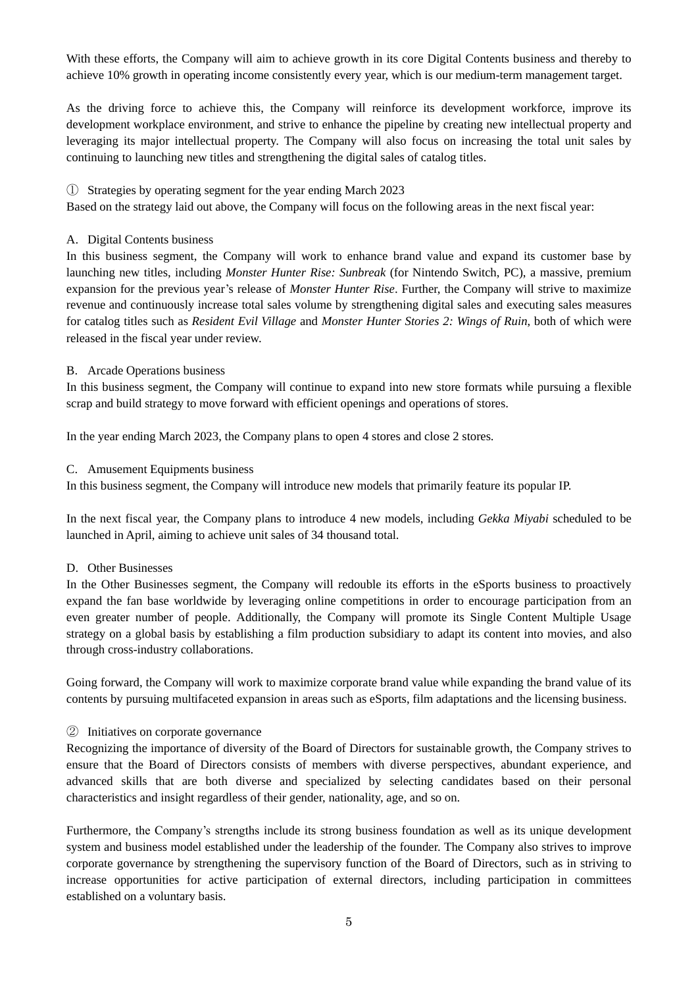With these efforts, the Company will aim to achieve growth in its core Digital Contents business and thereby to achieve 10% growth in operating income consistently every year, which is our medium-term management target.

As the driving force to achieve this, the Company will reinforce its development workforce, improve its development workplace environment, and strive to enhance the pipeline by creating new intellectual property and leveraging its major intellectual property. The Company will also focus on increasing the total unit sales by continuing to launching new titles and strengthening the digital sales of catalog titles.

① Strategies by operating segment for the year ending March 2023

Based on the strategy laid out above, the Company will focus on the following areas in the next fiscal year:

### A. Digital Contents business

In this business segment, the Company will work to enhance brand value and expand its customer base by launching new titles, including *Monster Hunter Rise: Sunbreak* (for Nintendo Switch, PC), a massive, premium expansion for the previous year's release of *Monster Hunter Rise*. Further, the Company will strive to maximize revenue and continuously increase total sales volume by strengthening digital sales and executing sales measures for catalog titles such as *Resident Evil Village* and *Monster Hunter Stories 2: Wings of Ruin*, both of which were released in the fiscal year under review.

## B. Arcade Operations business

In this business segment, the Company will continue to expand into new store formats while pursuing a flexible scrap and build strategy to move forward with efficient openings and operations of stores.

In the year ending March 2023, the Company plans to open 4 stores and close 2 stores.

### C. Amusement Equipments business

In this business segment, the Company will introduce new models that primarily feature its popular IP.

In the next fiscal year, the Company plans to introduce 4 new models, including *Gekka Miyabi* scheduled to be launched in April, aiming to achieve unit sales of 34 thousand total.

## D. Other Businesses

In the Other Businesses segment, the Company will redouble its efforts in the eSports business to proactively expand the fan base worldwide by leveraging online competitions in order to encourage participation from an even greater number of people. Additionally, the Company will promote its Single Content Multiple Usage strategy on a global basis by establishing a film production subsidiary to adapt its content into movies, and also through cross-industry collaborations.

Going forward, the Company will work to maximize corporate brand value while expanding the brand value of its contents by pursuing multifaceted expansion in areas such as eSports, film adaptations and the licensing business.

#### ② Initiatives on corporate governance

Recognizing the importance of diversity of the Board of Directors for sustainable growth, the Company strives to ensure that the Board of Directors consists of members with diverse perspectives, abundant experience, and advanced skills that are both diverse and specialized by selecting candidates based on their personal characteristics and insight regardless of their gender, nationality, age, and so on.

Furthermore, the Company's strengths include its strong business foundation as well as its unique development system and business model established under the leadership of the founder. The Company also strives to improve corporate governance by strengthening the supervisory function of the Board of Directors, such as in striving to increase opportunities for active participation of external directors, including participation in committees established on a voluntary basis.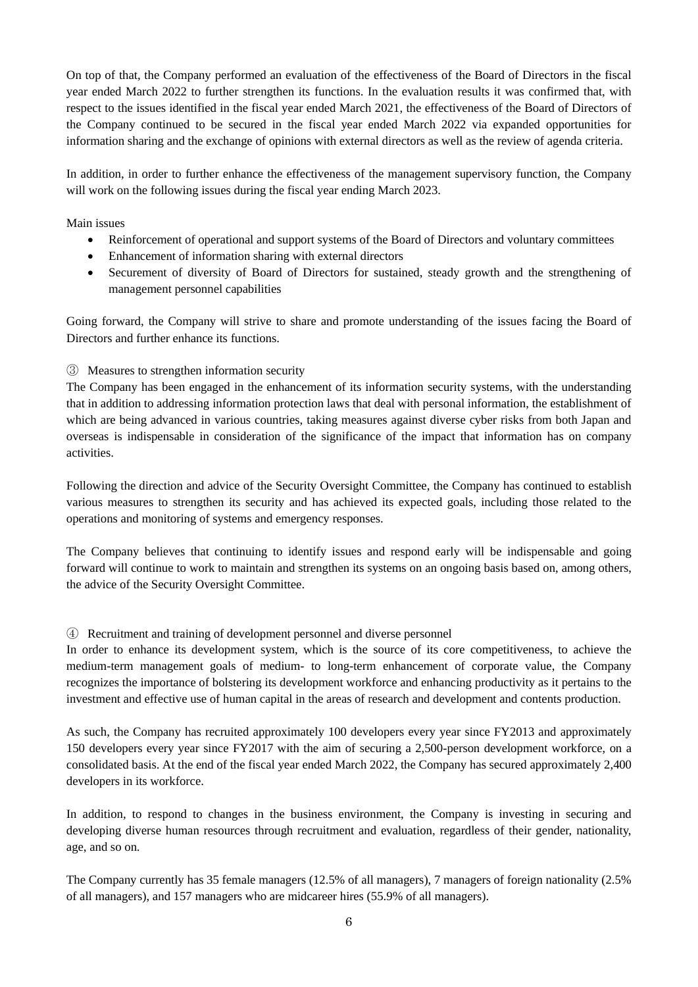On top of that, the Company performed an evaluation of the effectiveness of the Board of Directors in the fiscal year ended March 2022 to further strengthen its functions. In the evaluation results it was confirmed that, with respect to the issues identified in the fiscal year ended March 2021, the effectiveness of the Board of Directors of the Company continued to be secured in the fiscal year ended March 2022 via expanded opportunities for information sharing and the exchange of opinions with external directors as well as the review of agenda criteria.

In addition, in order to further enhance the effectiveness of the management supervisory function, the Company will work on the following issues during the fiscal year ending March 2023.

Main issues

- Reinforcement of operational and support systems of the Board of Directors and voluntary committees
- Enhancement of information sharing with external directors
- Securement of diversity of Board of Directors for sustained, steady growth and the strengthening of management personnel capabilities

Going forward, the Company will strive to share and promote understanding of the issues facing the Board of Directors and further enhance its functions.

③ Measures to strengthen information security

The Company has been engaged in the enhancement of its information security systems, with the understanding that in addition to addressing information protection laws that deal with personal information, the establishment of which are being advanced in various countries, taking measures against diverse cyber risks from both Japan and overseas is indispensable in consideration of the significance of the impact that information has on company activities.

Following the direction and advice of the Security Oversight Committee, the Company has continued to establish various measures to strengthen its security and has achieved its expected goals, including those related to the operations and monitoring of systems and emergency responses.

The Company believes that continuing to identify issues and respond early will be indispensable and going forward will continue to work to maintain and strengthen its systems on an ongoing basis based on, among others, the advice of the Security Oversight Committee.

## ④ Recruitment and training of development personnel and diverse personnel

In order to enhance its development system, which is the source of its core competitiveness, to achieve the medium-term management goals of medium- to long-term enhancement of corporate value, the Company recognizes the importance of bolstering its development workforce and enhancing productivity as it pertains to the investment and effective use of human capital in the areas of research and development and contents production.

As such, the Company has recruited approximately 100 developers every year since FY2013 and approximately 150 developers every year since FY2017 with the aim of securing a 2,500-person development workforce, on a consolidated basis. At the end of the fiscal year ended March 2022, the Company has secured approximately 2,400 developers in its workforce.

In addition, to respond to changes in the business environment, the Company is investing in securing and developing diverse human resources through recruitment and evaluation, regardless of their gender, nationality, age, and so on.

The Company currently has 35 female managers (12.5% of all managers), 7 managers of foreign nationality (2.5% of all managers), and 157 managers who are midcareer hires (55.9% of all managers).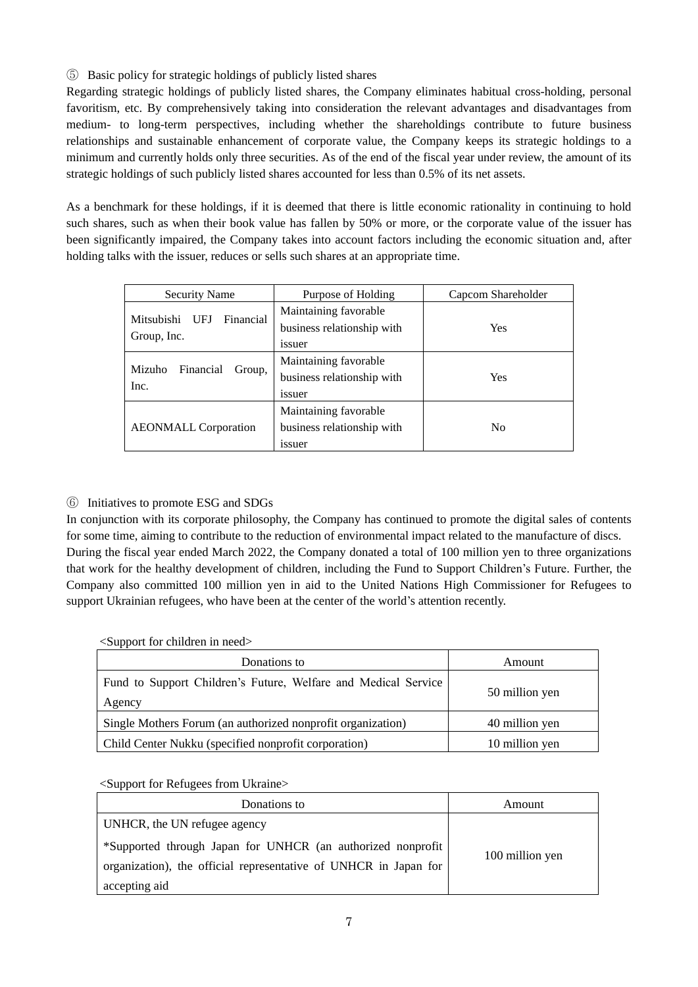# ⑤ Basic policy for strategic holdings of publicly listed shares

Regarding strategic holdings of publicly listed shares, the Company eliminates habitual cross-holding, personal favoritism, etc. By comprehensively taking into consideration the relevant advantages and disadvantages from medium- to long-term perspectives, including whether the shareholdings contribute to future business relationships and sustainable enhancement of corporate value, the Company keeps its strategic holdings to a minimum and currently holds only three securities. As of the end of the fiscal year under review, the amount of its strategic holdings of such publicly listed shares accounted for less than 0.5% of its net assets.

As a benchmark for these holdings, if it is deemed that there is little economic rationality in continuing to hold such shares, such as when their book value has fallen by 50% or more, or the corporate value of the issuer has been significantly impaired, the Company takes into account factors including the economic situation and, after holding talks with the issuer, reduces or sells such shares at an appropriate time.

| <b>Security Name</b>                                 | Purpose of Holding                                                  | Capcom Shareholder |
|------------------------------------------------------|---------------------------------------------------------------------|--------------------|
| Mitsubishi<br>Financial<br><b>UEJ</b><br>Group, Inc. | Maintaining favorable<br>business relationship with<br><i>ssuer</i> | <b>Yes</b>         |
| Mizuho<br>Financial<br>Group,<br>Inc.                | Maintaining favorable<br>business relationship with<br>issuer       | <b>Yes</b>         |
| <b>AEONMALL Corporation</b>                          | Maintaining favorable<br>business relationship with<br>issuer       | N <sub>0</sub>     |

# ⑥ Initiatives to promote ESG and SDGs

In conjunction with its corporate philosophy, the Company has continued to promote the digital sales of contents for some time, aiming to contribute to the reduction of environmental impact related to the manufacture of discs. During the fiscal year ended March 2022, the Company donated a total of 100 million yen to three organizations that work for the healthy development of children, including the Fund to Support Children's Future. Further, the Company also committed 100 million yen in aid to the United Nations High Commissioner for Refugees to support Ukrainian refugees, who have been at the center of the world's attention recently.

## <Support for children in need>

| Donations to                                                             | Amount         |
|--------------------------------------------------------------------------|----------------|
| Fund to Support Children's Future, Welfare and Medical Service<br>Agency | 50 million yen |
| Single Mothers Forum (an authorized nonprofit organization)              | 40 million yen |
| Child Center Nukku (specified nonprofit corporation)                     | 10 million yen |

<Support for Refugees from Ukraine>

| Donations to                                                     | Amount          |
|------------------------------------------------------------------|-----------------|
| UNHCR, the UN refugee agency                                     |                 |
| *Supported through Japan for UNHCR (an authorized nonprofit      | 100 million yen |
| organization), the official representative of UNHCR in Japan for |                 |
| accepting aid                                                    |                 |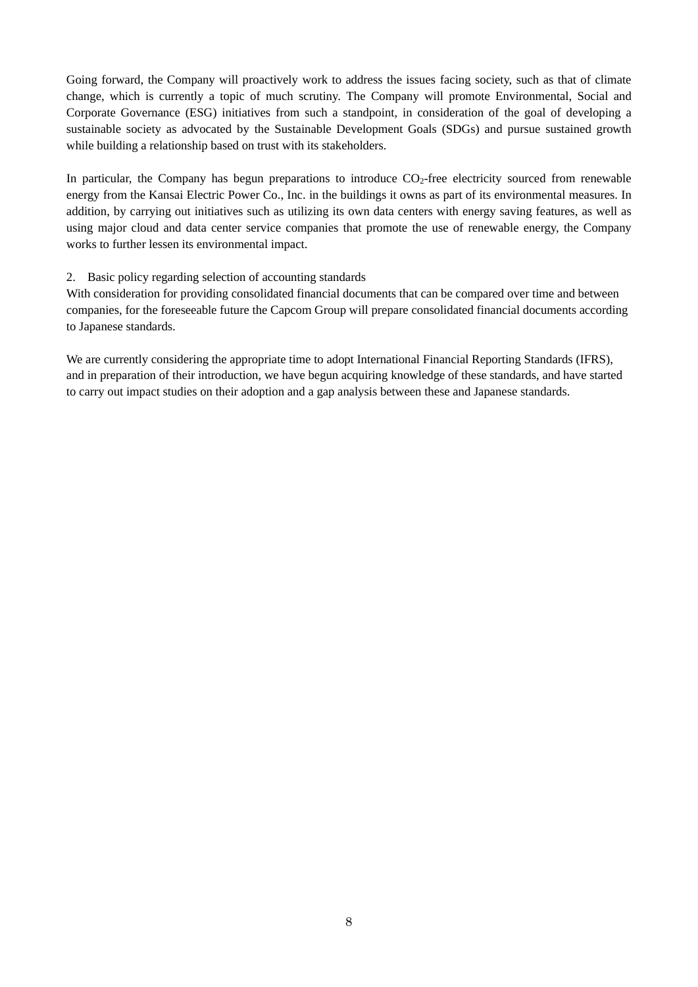Going forward, the Company will proactively work to address the issues facing society, such as that of climate change, which is currently a topic of much scrutiny. The Company will promote Environmental, Social and Corporate Governance (ESG) initiatives from such a standpoint, in consideration of the goal of developing a sustainable society as advocated by the Sustainable Development Goals (SDGs) and pursue sustained growth while building a relationship based on trust with its stakeholders.

In particular, the Company has begun preparations to introduce  $CO<sub>2</sub>$ -free electricity sourced from renewable energy from the Kansai Electric Power Co., Inc. in the buildings it owns as part of its environmental measures. In addition, by carrying out initiatives such as utilizing its own data centers with energy saving features, as well as using major cloud and data center service companies that promote the use of renewable energy, the Company works to further lessen its environmental impact.

### 2. Basic policy regarding selection of accounting standards

With consideration for providing consolidated financial documents that can be compared over time and between companies, for the foreseeable future the Capcom Group will prepare consolidated financial documents according to Japanese standards.

We are currently considering the appropriate time to adopt International Financial Reporting Standards (IFRS), and in preparation of their introduction, we have begun acquiring knowledge of these standards, and have started to carry out impact studies on their adoption and a gap analysis between these and Japanese standards.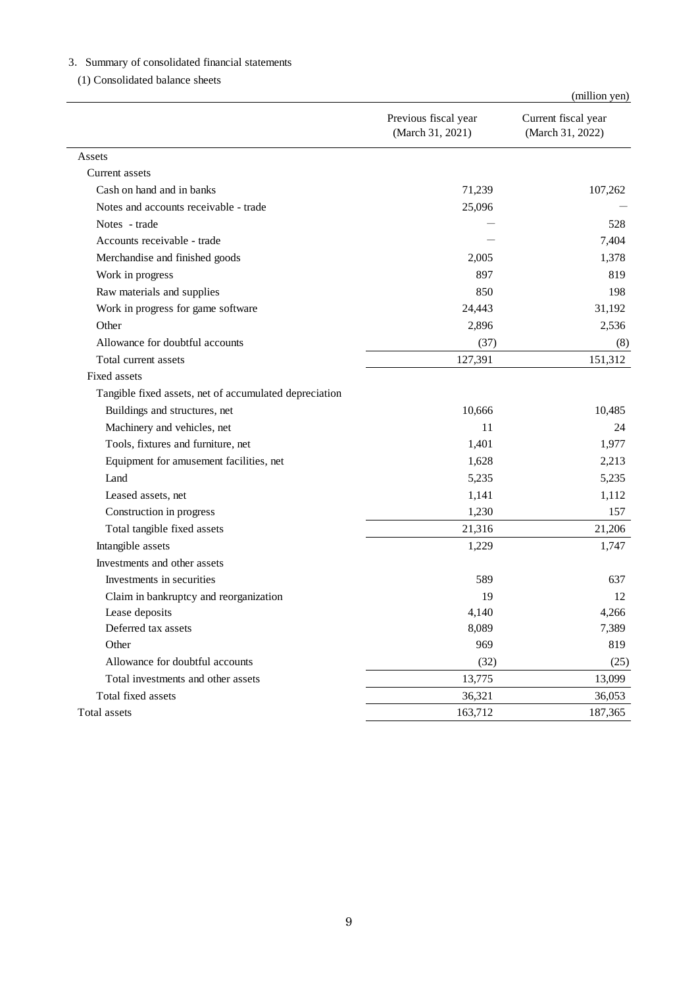# 3.Summary of consolidated financial statements

(1) Consolidated balance sheets

|                                                        |                                          | (million yen)                           |
|--------------------------------------------------------|------------------------------------------|-----------------------------------------|
|                                                        | Previous fiscal year<br>(March 31, 2021) | Current fiscal year<br>(March 31, 2022) |
| Assets                                                 |                                          |                                         |
| Current assets                                         |                                          |                                         |
| Cash on hand and in banks                              | 71,239                                   | 107,262                                 |
| Notes and accounts receivable - trade                  | 25,096                                   |                                         |
| Notes - trade                                          |                                          | 528                                     |
| Accounts receivable - trade                            |                                          | 7,404                                   |
| Merchandise and finished goods                         | 2,005                                    | 1,378                                   |
| Work in progress                                       | 897                                      | 819                                     |
| Raw materials and supplies                             | 850                                      | 198                                     |
| Work in progress for game software                     | 24,443                                   | 31,192                                  |
| Other                                                  | 2,896                                    | 2,536                                   |
| Allowance for doubtful accounts                        | (37)                                     | (8)                                     |
| Total current assets                                   | 127,391                                  | 151,312                                 |
| <b>Fixed assets</b>                                    |                                          |                                         |
| Tangible fixed assets, net of accumulated depreciation |                                          |                                         |
| Buildings and structures, net                          | 10,666                                   | 10,485                                  |
| Machinery and vehicles, net                            | 11                                       | 24                                      |
| Tools, fixtures and furniture, net                     | 1,401                                    | 1,977                                   |
| Equipment for amusement facilities, net                | 1,628                                    | 2,213                                   |
| Land                                                   | 5,235                                    | 5,235                                   |
| Leased assets, net                                     | 1,141                                    | 1,112                                   |
| Construction in progress                               | 1,230                                    | 157                                     |
| Total tangible fixed assets                            | 21,316                                   | 21,206                                  |
| Intangible assets                                      | 1,229                                    | 1,747                                   |
| Investments and other assets                           |                                          |                                         |
| Investments in securities                              | 589                                      | 637                                     |
| Claim in bankruptcy and reorganization                 | 19                                       | 12                                      |
| Lease deposits                                         | 4,140                                    | 4,266                                   |
| Deferred tax assets                                    | 8,089                                    | 7,389                                   |
| Other                                                  | 969                                      | 819                                     |
| Allowance for doubtful accounts                        | (32)                                     | (25)                                    |
| Total investments and other assets                     | 13,775                                   | 13,099                                  |
| Total fixed assets                                     | 36,321                                   | 36,053                                  |
| Total assets                                           | 163,712                                  | 187,365                                 |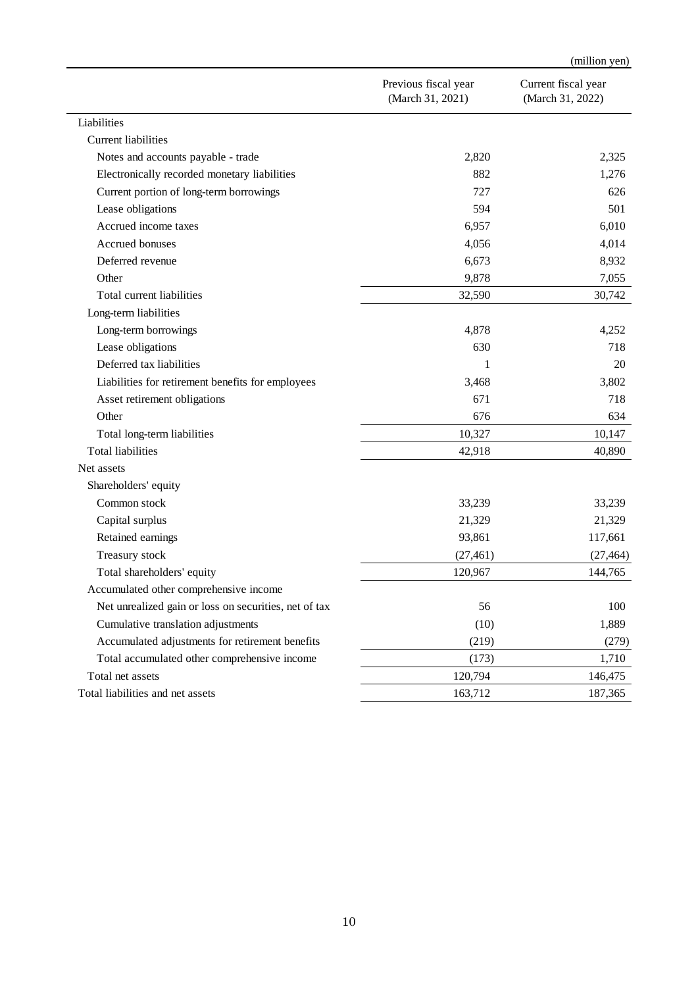|                                                       |                                          | (million yen)                           |
|-------------------------------------------------------|------------------------------------------|-----------------------------------------|
|                                                       | Previous fiscal year<br>(March 31, 2021) | Current fiscal year<br>(March 31, 2022) |
| Liabilities                                           |                                          |                                         |
| <b>Current liabilities</b>                            |                                          |                                         |
| Notes and accounts payable - trade                    | 2,820                                    | 2,325                                   |
| Electronically recorded monetary liabilities          | 882                                      | 1,276                                   |
| Current portion of long-term borrowings               | 727                                      | 626                                     |
| Lease obligations                                     | 594                                      | 501                                     |
| Accrued income taxes                                  | 6,957                                    | 6,010                                   |
| Accrued bonuses                                       | 4,056                                    | 4,014                                   |
| Deferred revenue                                      | 6,673                                    | 8,932                                   |
| Other                                                 | 9,878                                    | 7,055                                   |
| Total current liabilities                             | 32,590                                   | 30,742                                  |
| Long-term liabilities                                 |                                          |                                         |
| Long-term borrowings                                  | 4,878                                    | 4,252                                   |
| Lease obligations                                     | 630                                      | 718                                     |
| Deferred tax liabilities                              | 1                                        | 20                                      |
| Liabilities for retirement benefits for employees     | 3,468                                    | 3,802                                   |
| Asset retirement obligations                          | 671                                      | 718                                     |
| Other                                                 | 676                                      | 634                                     |
| Total long-term liabilities                           | 10,327                                   | 10,147                                  |
| <b>Total liabilities</b>                              | 42,918                                   | 40,890                                  |
| Net assets                                            |                                          |                                         |
| Shareholders' equity                                  |                                          |                                         |
| Common stock                                          | 33,239                                   | 33,239                                  |
| Capital surplus                                       | 21,329                                   | 21,329                                  |
| Retained earnings                                     | 93,861                                   | 117,661                                 |
| Treasury stock                                        | (27, 461)                                | (27, 464)                               |
| Total shareholders' equity                            | 120,967                                  | 144,765                                 |
| Accumulated other comprehensive income                |                                          |                                         |
| Net unrealized gain or loss on securities, net of tax | 56                                       | 100                                     |
| Cumulative translation adjustments                    | (10)                                     | 1,889                                   |
| Accumulated adjustments for retirement benefits       | (219)                                    | (279)                                   |
| Total accumulated other comprehensive income          | (173)                                    | 1,710                                   |
| Total net assets                                      | 120,794                                  | 146,475                                 |
| Total liabilities and net assets                      | 163,712                                  | 187,365                                 |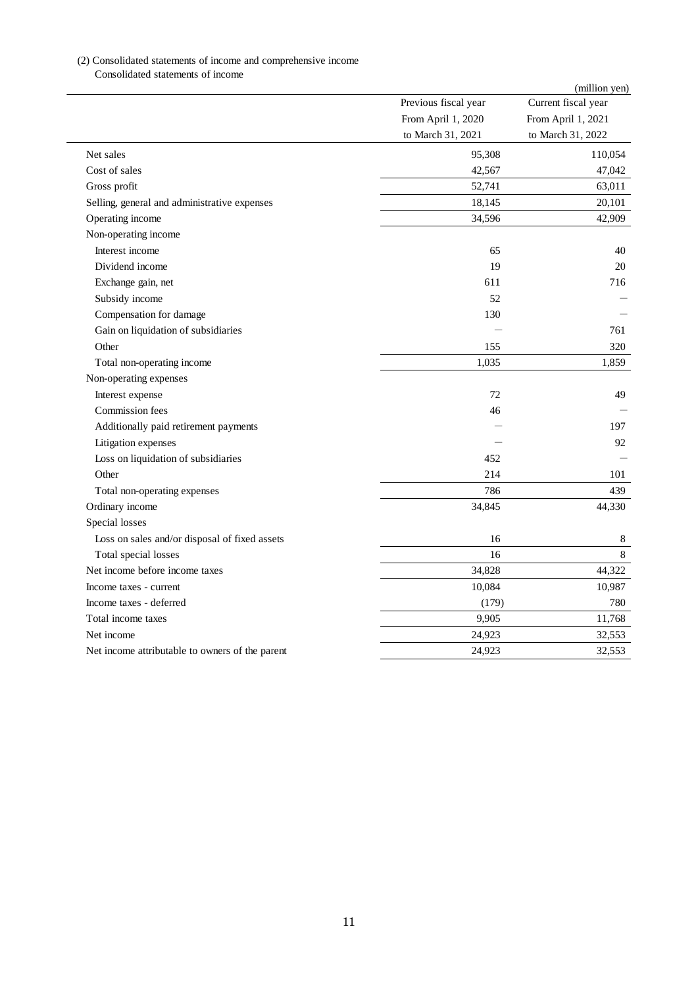### (2) Consolidated statements of income and comprehensive income

Consolidated statements of income

|                                                 |                      | (million yen)       |
|-------------------------------------------------|----------------------|---------------------|
|                                                 | Previous fiscal year | Current fiscal year |
|                                                 | From April 1, 2020   | From April 1, 2021  |
|                                                 | to March 31, 2021    | to March 31, 2022   |
| Net sales                                       | 95,308               | 110,054             |
| Cost of sales                                   | 42,567               | 47,042              |
| Gross profit                                    | 52,741               | 63,011              |
| Selling, general and administrative expenses    | 18,145               | 20,101              |
| Operating income                                | 34,596               | 42,909              |
| Non-operating income                            |                      |                     |
| Interest income                                 | 65                   | 40                  |
| Dividend income                                 | 19                   | 20                  |
| Exchange gain, net                              | 611                  | 716                 |
| Subsidy income                                  | 52                   |                     |
| Compensation for damage                         | 130                  |                     |
| Gain on liquidation of subsidiaries             |                      | 761                 |
| Other                                           | 155                  | 320                 |
| Total non-operating income                      | 1,035                | 1,859               |
| Non-operating expenses                          |                      |                     |
| Interest expense                                | 72                   | 49                  |
| Commission fees                                 | 46                   |                     |
| Additionally paid retirement payments           |                      | 197                 |
| Litigation expenses                             |                      | 92                  |
| Loss on liquidation of subsidiaries             | 452                  |                     |
| Other                                           | 214                  | 101                 |
| Total non-operating expenses                    | 786                  | 439                 |
| Ordinary income                                 | 34,845               | 44,330              |
| Special losses                                  |                      |                     |
| Loss on sales and/or disposal of fixed assets   | 16                   | 8                   |
| Total special losses                            | 16                   | $8\,$               |
| Net income before income taxes                  | 34,828               | 44,322              |
| Income taxes - current                          | 10,084               | 10,987              |
| Income taxes - deferred                         | (179)                | 780                 |
| Total income taxes                              | 9,905                | 11,768              |
| Net income                                      | 24,923               | 32,553              |
| Net income attributable to owners of the parent | 24,923               | 32,553              |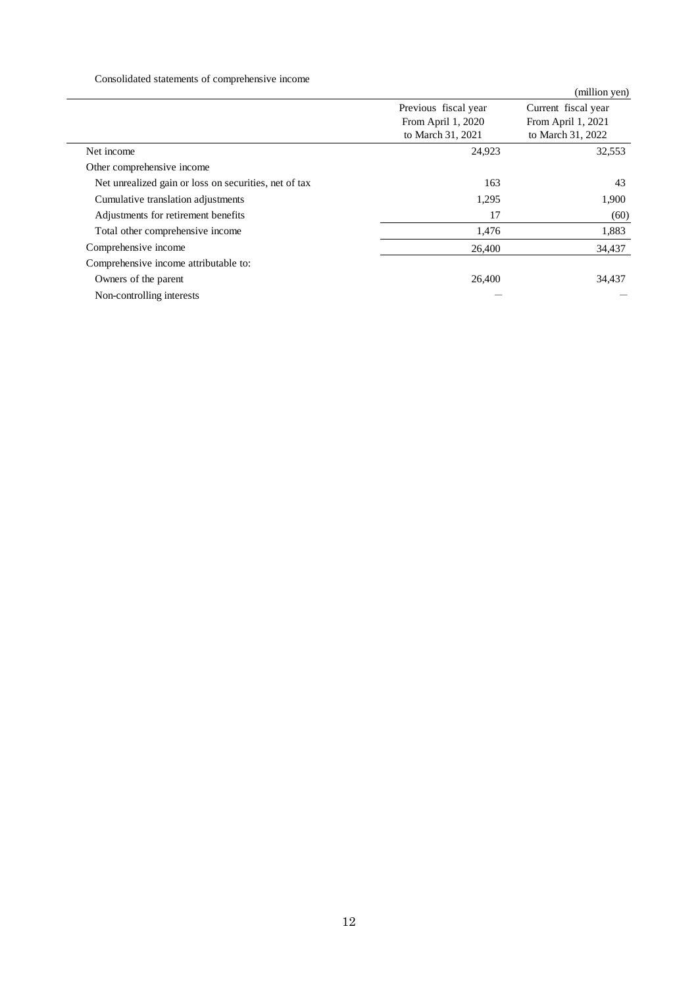### Consolidated statements of comprehensive income

| onsolidate statements of comprehensive medine         |                                                                 | (million yen)                                                  |
|-------------------------------------------------------|-----------------------------------------------------------------|----------------------------------------------------------------|
|                                                       | Previous fiscal year<br>From April 1, 2020<br>to March 31, 2021 | Current fiscal year<br>From April 1, 2021<br>to March 31, 2022 |
| Net income                                            | 24,923                                                          | 32,553                                                         |
| Other comprehensive income                            |                                                                 |                                                                |
| Net unrealized gain or loss on securities, net of tax | 163                                                             | 43                                                             |
| Cumulative translation adjustments                    | 1,295                                                           | 1,900                                                          |
| Adjustments for retirement benefits                   | 17                                                              | (60)                                                           |
| Total other comprehensive income                      | 1,476                                                           | 1,883                                                          |
| Comprehensive income                                  | 26,400                                                          | 34,437                                                         |
| Comprehensive income attributable to:                 |                                                                 |                                                                |
| Owners of the parent                                  | 26,400                                                          | 34,437                                                         |
| Non-controlling interests                             |                                                                 |                                                                |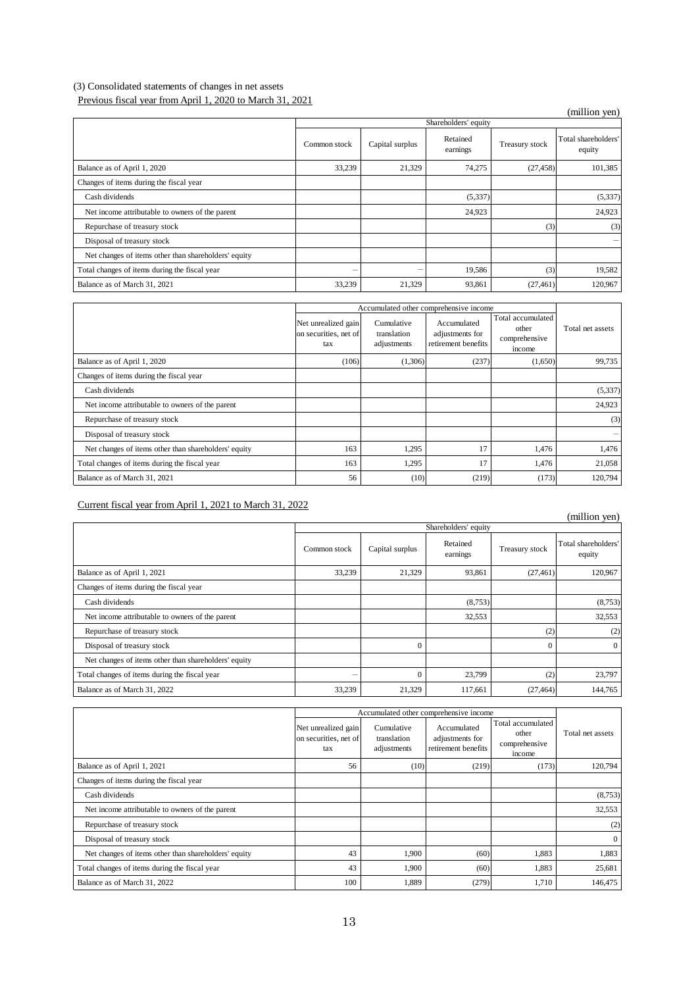# (3) Consolidated statements of changes in net assets

# Previous fiscal year from April 1, 2020 to March 31, 2021

| _ _ _ _ _ . _                                        |              |                      |                      |                | (million yen)                 |
|------------------------------------------------------|--------------|----------------------|----------------------|----------------|-------------------------------|
|                                                      |              | Shareholders' equity |                      |                |                               |
|                                                      | Common stock | Capital surplus      | Retained<br>earnings | Treasury stock | Total shareholders'<br>equity |
| Balance as of April 1, 2020                          | 33,239       | 21,329               | 74,275               | (27, 458)      | 101,385                       |
| Changes of items during the fiscal year              |              |                      |                      |                |                               |
| Cash dividends                                       |              |                      | (5,337)              |                | (5,337)                       |
| Net income attributable to owners of the parent      |              |                      | 24,923               |                | 24,923                        |
| Repurchase of treasury stock                         |              |                      |                      | (3)            | (3)                           |
| Disposal of treasury stock                           |              |                      |                      |                |                               |
| Net changes of items other than shareholders' equity |              |                      |                      |                |                               |
| Total changes of items during the fiscal year        | —            |                      | 19,586               | (3)            | 19,582                        |
| Balance as of March 31, 2021                         | 33,239       | 21,329               | 93,861               | (27, 461)      | 120,967                       |

|                                                      | Accumulated other comprehensive income              |                                          |                                                       |                                                       |                  |
|------------------------------------------------------|-----------------------------------------------------|------------------------------------------|-------------------------------------------------------|-------------------------------------------------------|------------------|
|                                                      | Net unrealized gain<br>on securities, net of<br>tax | Cumulative<br>translation<br>adjustments | Accumulated<br>adjustments for<br>retirement benefits | Total accumulated<br>other<br>comprehensive<br>income | Total net assets |
| Balance as of April 1, 2020                          | (106)                                               | (1,306)                                  | (237)                                                 | (1,650)                                               | 99,735           |
| Changes of items during the fiscal year              |                                                     |                                          |                                                       |                                                       |                  |
| Cash dividends                                       |                                                     |                                          |                                                       |                                                       | (5,337)          |
| Net income attributable to owners of the parent      |                                                     |                                          |                                                       |                                                       | 24,923           |
| Repurchase of treasury stock                         |                                                     |                                          |                                                       |                                                       | (3)              |
| Disposal of treasury stock                           |                                                     |                                          |                                                       |                                                       |                  |
| Net changes of items other than shareholders' equity | 163                                                 | 1,295                                    | 17                                                    | 1,476                                                 | 1,476            |
| Total changes of items during the fiscal year        | 163                                                 | 1,295                                    | 17                                                    | 1,476                                                 | 21,058           |
| Balance as of March 31, 2021                         | 56                                                  | (10)                                     | (219)                                                 | (173)                                                 | 120,794          |

### Current fiscal year from April 1, 2021 to March 31, 2022

| Current riscar year from April 1, 2021 to March 31, 2022<br>(million yen) |                      |                 |                      |                |                               |
|---------------------------------------------------------------------------|----------------------|-----------------|----------------------|----------------|-------------------------------|
|                                                                           | Shareholders' equity |                 |                      |                |                               |
|                                                                           | Common stock         | Capital surplus | Retained<br>earnings | Treasury stock | Total shareholders'<br>equity |
| Balance as of April 1, 2021                                               | 33,239               | 21,329          | 93,861               | (27, 461)      | 120,967                       |
| Changes of items during the fiscal year                                   |                      |                 |                      |                |                               |
| Cash dividends                                                            |                      |                 | (8,753)              |                | (8,753)                       |
| Net income attributable to owners of the parent                           |                      |                 | 32,553               |                | 32,553                        |
| Repurchase of treasury stock                                              |                      |                 |                      | (2)            | (2)                           |
| Disposal of treasury stock                                                |                      | $\Omega$        |                      |                | $\Omega$                      |
| Net changes of items other than shareholders' equity                      |                      |                 |                      |                |                               |
| Total changes of items during the fiscal year                             | -                    | $\Omega$        | 23,799               | (2)            | 23,797                        |
| Balance as of March 31, 2022                                              | 33,239               | 21,329          | 117,661              | (27, 464)      | 144,765                       |

|                                                      | Accumulated other comprehensive income              |                                          |                                                       |                                                       |                  |
|------------------------------------------------------|-----------------------------------------------------|------------------------------------------|-------------------------------------------------------|-------------------------------------------------------|------------------|
|                                                      | Net unrealized gain<br>on securities, net of<br>tax | Cumulative<br>translation<br>adjustments | Accumulated<br>adjustments for<br>retirement benefits | Total accumulated<br>other<br>comprehensive<br>income | Total net assets |
| Balance as of April 1, 2021                          | 56                                                  | (10)                                     | (219)                                                 | (173)                                                 | 120,794          |
| Changes of items during the fiscal year              |                                                     |                                          |                                                       |                                                       |                  |
| Cash dividends                                       |                                                     |                                          |                                                       |                                                       | (8,753)          |
| Net income attributable to owners of the parent      |                                                     |                                          |                                                       |                                                       | 32,553           |
| Repurchase of treasury stock                         |                                                     |                                          |                                                       |                                                       | (2)              |
| Disposal of treasury stock                           |                                                     |                                          |                                                       |                                                       | $\overline{0}$   |
| Net changes of items other than shareholders' equity | 43                                                  | 1,900                                    | (60)                                                  | 1,883                                                 | 1,883            |
| Total changes of items during the fiscal year        | 43                                                  | 1,900                                    | (60)                                                  | 1,883                                                 | 25,681           |
| Balance as of March 31, 2022                         | 100                                                 | 1,889                                    | (279)                                                 | 1,710                                                 | 146,475          |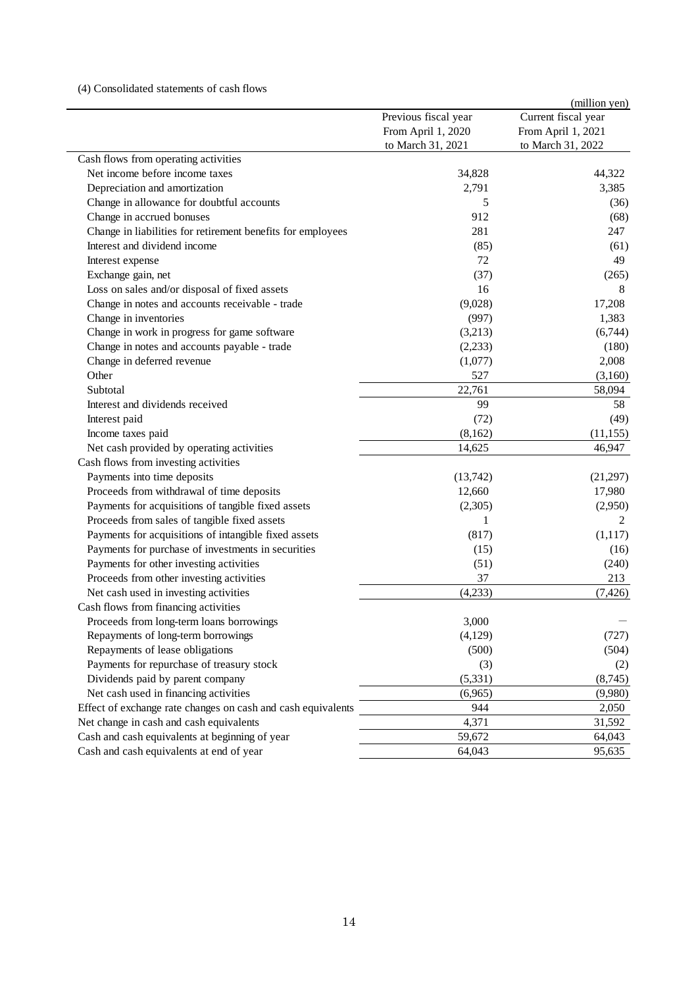(4) Consolidated statements of cash flows

|                                                              |                      | (million yen)       |
|--------------------------------------------------------------|----------------------|---------------------|
|                                                              | Previous fiscal year | Current fiscal year |
|                                                              | From April 1, 2020   | From April 1, 2021  |
|                                                              | to March 31, 2021    | to March 31, 2022   |
| Cash flows from operating activities                         |                      |                     |
| Net income before income taxes                               | 34,828               | 44,322              |
| Depreciation and amortization                                | 2,791                | 3,385               |
| Change in allowance for doubtful accounts                    | 5                    | (36)                |
| Change in accrued bonuses                                    | 912                  | (68)                |
| Change in liabilities for retirement benefits for employees  | 281                  | 247                 |
| Interest and dividend income                                 | (85)                 | (61)                |
| Interest expense                                             | 72                   | 49                  |
| Exchange gain, net                                           | (37)                 | (265)               |
| Loss on sales and/or disposal of fixed assets                | 16                   | 8                   |
| Change in notes and accounts receivable - trade              | (9,028)              | 17,208              |
| Change in inventories                                        | (997)                | 1,383               |
| Change in work in progress for game software                 | (3,213)              | (6,744)             |
| Change in notes and accounts payable - trade                 | (2,233)              | (180)               |
| Change in deferred revenue                                   | (1,077)              | 2,008               |
| Other                                                        | 527                  | (3,160)             |
| Subtotal                                                     | 22,761               | 58,094              |
| Interest and dividends received                              | 99                   | 58                  |
| Interest paid                                                | (72)                 | (49)                |
| Income taxes paid                                            | (8,162)              | (11, 155)           |
| Net cash provided by operating activities                    | 14,625               | 46,947              |
| Cash flows from investing activities                         |                      |                     |
| Payments into time deposits                                  | (13,742)             | (21, 297)           |
| Proceeds from withdrawal of time deposits                    | 12,660               | 17,980              |
| Payments for acquisitions of tangible fixed assets           | (2,305)              | (2,950)             |
| Proceeds from sales of tangible fixed assets                 | 1                    | 2                   |
| Payments for acquisitions of intangible fixed assets         | (817)                | (1,117)             |
| Payments for purchase of investments in securities           | (15)                 | (16)                |
| Payments for other investing activities                      | (51)                 | (240)               |
| Proceeds from other investing activities                     | 37                   | 213                 |
| Net cash used in investing activities                        | (4,233)              | (7, 426)            |
| Cash flows from financing activities                         |                      |                     |
| Proceeds from long-term loans borrowings                     | 3,000                |                     |
| Repayments of long-term borrowings                           | (4,129)              | (727)               |
| Repayments of lease obligations                              | (500)                | (504)               |
| Payments for repurchase of treasury stock                    | (3)                  | (2)                 |
| Dividends paid by parent company                             | (5,331)              | (8,745)             |
| Net cash used in financing activities                        | (6,965)              | (9,980)             |
| Effect of exchange rate changes on cash and cash equivalents | 944                  | 2,050               |
| Net change in cash and cash equivalents                      | 4,371                | 31,592              |
| Cash and cash equivalents at beginning of year               | 59,672               | 64,043              |
| Cash and cash equivalents at end of year                     | 64,043               | 95,635              |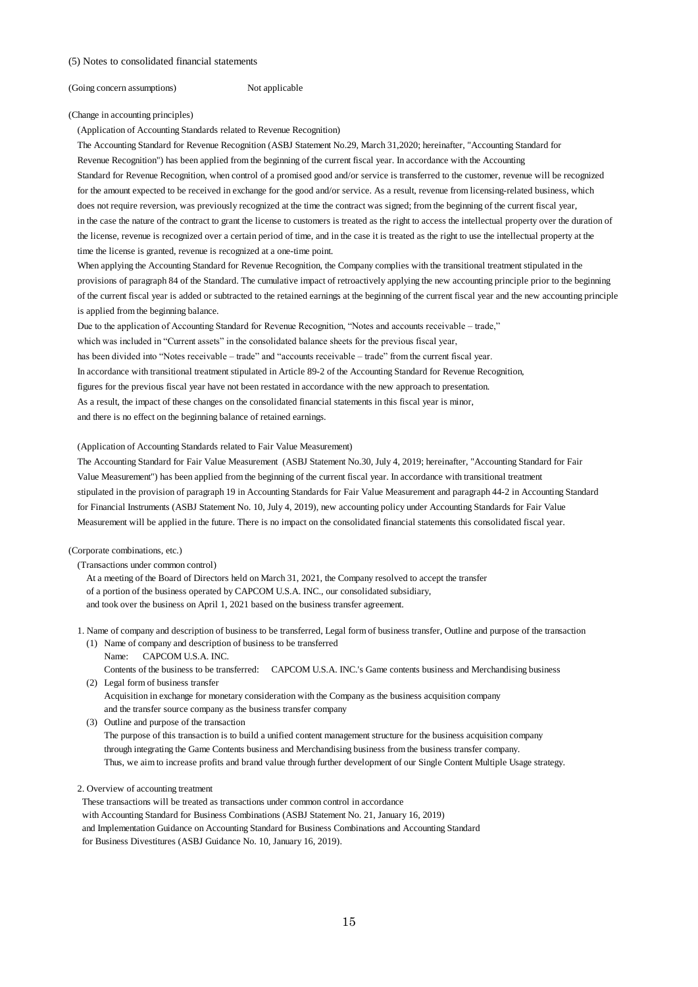#### (Going concern assumptions) Not applicable

(Change in accounting principles)

(Application of Accounting Standards related to Revenue Recognition)

The Accounting Standard for Revenue Recognition (ASBJ Statement No.29, March 31,2020; hereinafter, "Accounting Standard for Revenue Recognition") has been applied from the beginning of the current fiscal year. In accordance with the Accounting Standard for Revenue Recognition, when control of a promised good and/or service is transferred to the customer, revenue will be recognized for the amount expected to be received in exchange for the good and/or service. As a result, revenue from licensing-related business, which does not require reversion, was previously recognized at the time the contract was signed; from the beginning of the current fiscal year, in the case the nature of the contract to grant the license to customers is treated as the right to access the intellectual property over the duration of the license, revenue is recognized over a certain period of time, and in the case it is treated as the right to use the intellectual property at the time the license is granted, revenue is recognized at a one-time point.

When applying the Accounting Standard for Revenue Recognition, the Company complies with the transitional treatment stipulated in the provisions of paragraph 84 of the Standard. The cumulative impact of retroactively applying the new accounting principle prior to the beginning of the current fiscal year is added or subtracted to the retained earnings at the beginning of the current fiscal year and the new accounting principle is applied from the beginning balance.

Due to the application of Accounting Standard for Revenue Recognition, "Notes and accounts receivable – trade," which was included in "Current assets" in the consolidated balance sheets for the previous fiscal year, has been divided into "Notes receivable – trade" and "accounts receivable – trade" from the current fiscal year. In accordance with transitional treatment stipulated in Article 89-2 of the Accounting Standard for Revenue Recognition, figures for the previous fiscal year have not been restated in accordance with the new approach to presentation.

As a result, the impact of these changes on the consolidated financial statements in this fiscal year is minor,

and there is no effect on the beginning balance of retained earnings.

#### (Application of Accounting Standards related to Fair Value Measurement)

The Accounting Standard for Fair Value Measurement (ASBJ Statement No.30, July 4, 2019; hereinafter, "Accounting Standard for Fair Value Measurement") has been applied from the beginning of the current fiscal year. In accordance with transitional treatment stipulated in the provision of paragraph 19 in Accounting Standards for Fair Value Measurement and paragraph 44-2 in Accounting Standard for Financial Instruments (ASBJ Statement No. 10, July 4, 2019), new accounting policy under Accounting Standards for Fair Value Measurement will be applied in the future. There is no impact on the consolidated financial statements this consolidated fiscal year.

#### (Corporate combinations, etc.)

(Transactions under common control)

At a meeting of the Board of Directors held on March 31, 2021, the Company resolved to accept the transfer of a portion of the business operated by CAPCOM U.S.A. INC., our consolidated subsidiary, and took over the business on April 1, 2021 based on the business transfer agreement.

1. Name of company and description of business to be transferred, Legal form of business transfer, Outline and purpose of the transaction

- (1) Name of company and description of business to be transferred Name: CAPCOM U.S.A. INC. Contents of the business to be transferred: CAPCOM U.S.A. INC.'s Game contents business and Merchandising business (2) Legal form of business transfer
- Acquisition in exchange for monetary consideration with the Company as the business acquisition company and the transfer source company as the business transfer company
- (3) Outline and purpose of the transaction The purpose of this transaction is to build a unified content management structure for the business acquisition company through integrating the Game Contents business and Merchandising business from the business transfer company. Thus, we aim to increase profits and brand value through further development of our Single Content Multiple Usage strategy.

 These transactions will be treated as transactions under common control in accordance with Accounting Standard for Business Combinations (ASBJ Statement No. 21, January 16, 2019) and Implementation Guidance on Accounting Standard for Business Combinations and Accounting Standard for Business Divestitures (ASBJ Guidance No. 10, January 16, 2019).

<sup>2.</sup> Overview of accounting treatment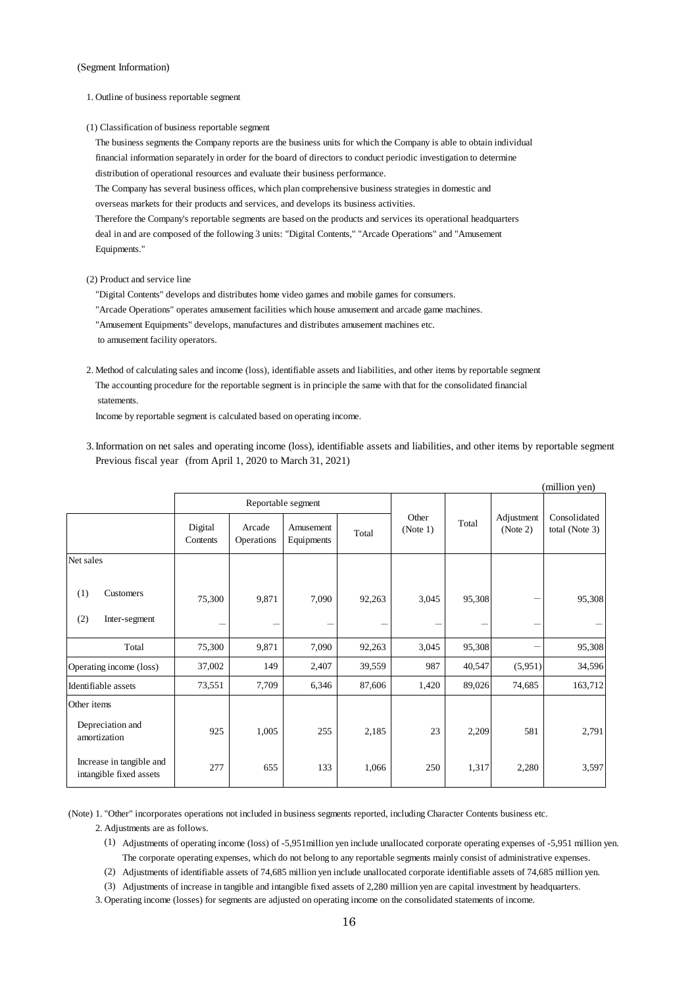#### (Segment Information)

- 1. Outline of business reportable segment
- (1) Classification of business reportable segment

The business segments the Company reports are the business units for which the Company is able to obtain individual financial information separately in order for the board of directors to conduct periodic investigation to determine distribution of operational resources and evaluate their business performance.

The Company has several business offices, which plan comprehensive business strategies in domestic and overseas markets for their products and services, and develops its business activities.

Therefore the Company's reportable segments are based on the products and services its operational headquarters deal in and are composed of the following 3 units: "Digital Contents," "Arcade Operations" and "Amusement Equipments."

(2) Product and service line

"Digital Contents" develops and distributes home video games and mobile games for consumers. "Arcade Operations" operates amusement facilities which house amusement and arcade game machines. "Amusement Equipments" develops, manufactures and distributes amusement machines etc. to amusement facility operators.

2. Method of calculating sales and income (loss), identifiable assets and liabilities, and other items by reportable segment The accounting procedure for the reportable segment is in principle the same with that for the consolidated financial statements.

Income by reportable segment is calculated based on operating income.

- (million yen) Net sales (1) (2) Operating income (loss) Identifiable assets Other items Reportable segment Other Other <br>
(Note 1) Total <br>
(Note 2) (Note 2) Consolidated Digital total (Note 3) Contents Arcade Operations Amusement Equipments  $95,308$  - 95,308 Inter-segment  $-$ Customers 75,300 9,871 7,090 92,263 3,045  $-$ Total  $\begin{array}{|c|c|c|c|c|c|c|c|c|} \hline \end{array}$  7,090 92,263 3,045 95,308  $\begin{array}{|c|c|c|c|c|c|} \hline \end{array}$  95,308 37,002 149 2,407 39,559 987 40,547 (5,951) 34,596 73,551 7,709 6,346 87,606 1,420 89,026 74,685 163,712 2,209 581 2,791 Increase in tangible and intangible fixed assets 1277 655 133 1,066 250 1,317 Depreciation and amortization 1.005 1,005 255 2,185 23 3,597
- 3.Information on net sales and operating income (loss), identifiable assets and liabilities, and other items by reportable segment Previous fiscal year (from April 1, 2020 to March 31, 2021)

(Note) 1. "Other" incorporates operations not included in business segments reported, including Character Contents business etc.

2. Adjustments are as follows.

- (1) Adjustments of operating income (loss) of -5,951million yen include unallocated corporate operating expenses of -5,951 million yen. The corporate operating expenses, which do not belong to any reportable segments mainly consist of administrative expenses.
- (2) Adjustments of identifiable assets of 74,685 million yen include unallocated corporate identifiable assets of 74,685 million yen.

(3) Adjustments of increase in tangible and intangible fixed assets of 2,280 million yen are capital investment by headquarters.

3. Operating income (losses) for segments are adjusted on operating income on the consolidated statements of income.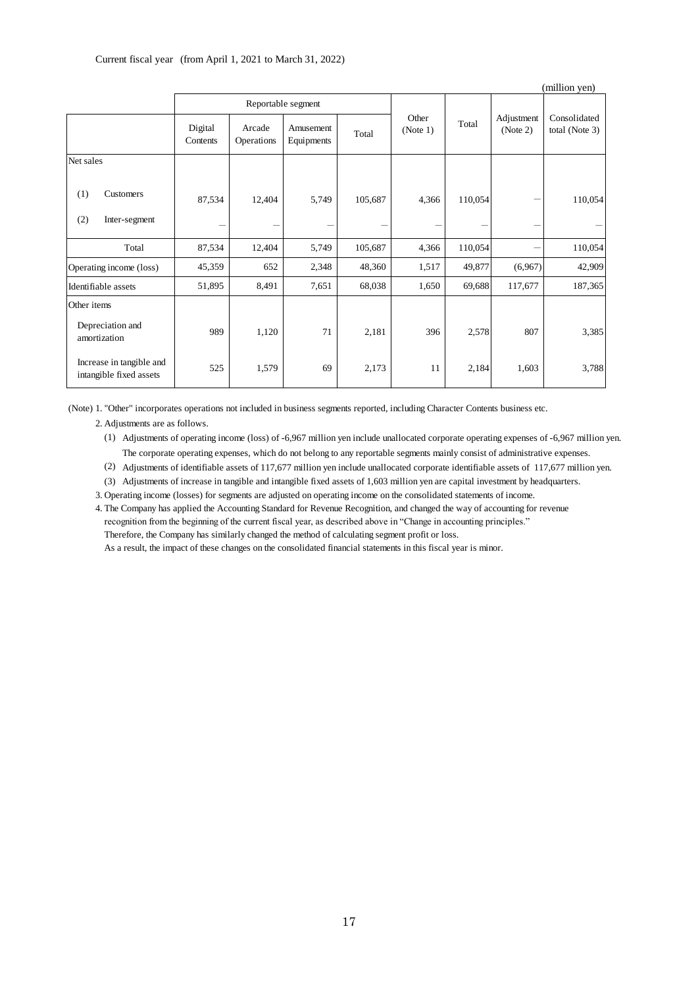|                                                     |                     |                      |                         |         |                   |         |                        | (million yen)                  |
|-----------------------------------------------------|---------------------|----------------------|-------------------------|---------|-------------------|---------|------------------------|--------------------------------|
|                                                     |                     | Reportable segment   |                         |         |                   |         |                        |                                |
|                                                     | Digital<br>Contents | Arcade<br>Operations | Amusement<br>Equipments | Total   | Other<br>(Note 1) | Total   | Adjustment<br>(Note 2) | Consolidated<br>total (Note 3) |
| Net sales                                           |                     |                      |                         |         |                   |         |                        |                                |
| (1)<br>Customers<br>(2)<br>Inter-segment            | 87,534              | 12,404               | 5,749                   | 105,687 | 4,366             | 110,054 |                        | 110,054                        |
|                                                     |                     |                      |                         |         |                   |         |                        |                                |
| Total                                               | 87,534              | 12,404               | 5,749                   | 105,687 | 4,366             | 110,054 |                        | 110,054                        |
| Operating income (loss)                             | 45,359              | 652                  | 2,348                   | 48,360  | 1,517             | 49,877  | (6,967)                | 42,909                         |
| Identifiable assets                                 | 51,895              | 8,491                | 7,651                   | 68,038  | 1,650             | 69,688  | 117,677                | 187,365                        |
| Other items<br>Depreciation and<br>amortization     | 989                 | 1,120                | 71                      | 2,181   | 396               | 2,578   | 807                    | 3,385                          |
| Increase in tangible and<br>intangible fixed assets | 525                 | 1,579                | 69                      | 2,173   | 11                | 2,184   | 1,603                  | 3,788                          |

(Note) 1. "Other" incorporates operations not included in business segments reported, including Character Contents business etc.

- 2. Adjustments are as follows.
	- (1) Adjustments of operating income (loss) of -6,967 million yen include unallocated corporate operating expenses of -6,967 million yen. The corporate operating expenses, which do not belong to any reportable segments mainly consist of administrative expenses.
	- (2) Adjustments of identifiable assets of 117,677 million yen include unallocated corporate identifiable assets of 117,677 million yen.
	- (3) Adjustments of increase in tangible and intangible fixed assets of 1,603 million yen are capital investment by headquarters.

3. Operating income (losses) for segments are adjusted on operating income on the consolidated statements of income.

4. The Company has applied the Accounting Standard for Revenue Recognition, and changed the way of accounting for revenue recognition from the beginning of the current fiscal year, as described above in "Change in accounting principles." Therefore, the Company has similarly changed the method of calculating segment profit or loss.

As a result, the impact of these changes on the consolidated financial statements in this fiscal year is minor.